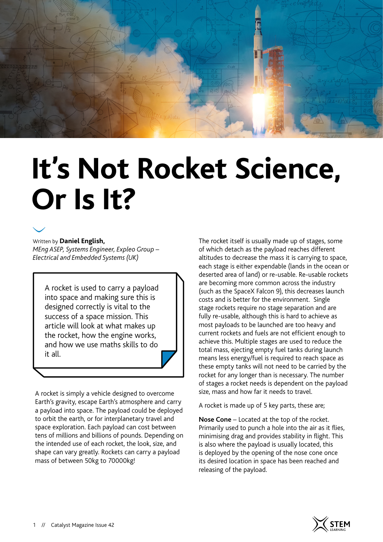

# **It's Not Rocket Science, Or Is It?**



Written by **Daniel English,**  *MEng ASEP, Systems Engineer, Expleo Group – Electrical and Embedded Systems (UK)*

A rocket is used to carry a payload into space and making sure this is designed correctly is vital to the success of a space mission. This article will look at what makes up the rocket, how the engine works, and how we use maths skills to do it all.

A rocket is simply a vehicle designed to overcome Earth's gravity, escape Earth's atmosphere and carry a payload into space. The payload could be deployed to orbit the earth, or for interplanetary travel and space exploration. Each payload can cost between tens of millions and billions of pounds. Depending on the intended use of each rocket, the look, size, and shape can vary greatly. Rockets can carry a payload mass of between 50kg to 70000kg!

The rocket itself is usually made up of stages, some of which detach as the payload reaches different altitudes to decrease the mass it is carrying to space, each stage is either expendable (lands in the ocean or deserted area of land) or re-usable. Re-usable rockets are becoming more common across the industry (such as the SpaceX Falcon 9), this decreases launch costs and is better for the environment. Single stage rockets require no stage separation and are fully re-usable, although this is hard to achieve as most payloads to be launched are too heavy and current rockets and fuels are not efficient enough to achieve this. Multiple stages are used to reduce the total mass, ejecting empty fuel tanks during launch means less energy/fuel is required to reach space as these empty tanks will not need to be carried by the rocket for any longer than is necessary. The number of stages a rocket needs is dependent on the payload size, mass and how far it needs to travel.

A rocket is made up of 5 key parts, these are;

**Nose Cone** – Located at the top of the rocket. Primarily used to punch a hole into the air as it flies, minimising drag and provides stability in flight. This is also where the payload is usually located, this is deployed by the opening of the nose cone once its desired location in space has been reached and releasing of the payload.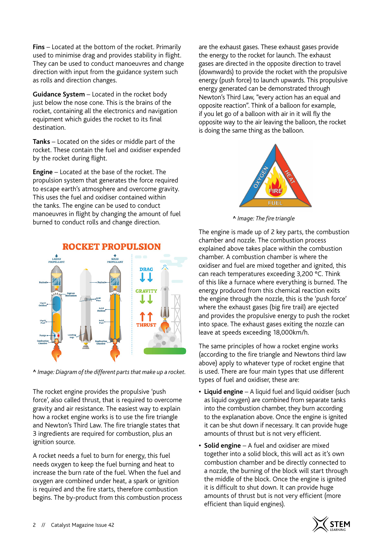**Fins** – Located at the bottom of the rocket. Primarily used to minimise drag and provides stability in flight. They can be used to conduct manoeuvres and change direction with input from the guidance system such as rolls and direction changes.

**Guidance System** – Located in the rocket body just below the nose cone. This is the brains of the rocket, containing all the electronics and navigation equipment which guides the rocket to its final destination.

**Tanks** – Located on the sides or middle part of the rocket. These contain the fuel and oxidiser expended by the rocket during flight.

**Engine** – Located at the base of the rocket. The propulsion system that generates the force required to escape earth's atmosphere and overcome gravity. This uses the fuel and oxidiser contained within the tanks. The engine can be used to conduct manoeuvres in flight by changing the amount of fuel burned to conduct rolls and change direction.



#### **ROCKET PROPULSION**

**^** *Image: Diagram of the different parts that make up a rocket.*

The rocket engine provides the propulsive 'push force', also called thrust, that is required to overcome gravity and air resistance. The easiest way to explain how a rocket engine works is to use the fire triangle and Newton's Third Law. The fire triangle states that 3 ingredients are required for combustion, plus an ignition source.

A rocket needs a fuel to burn for energy, this fuel needs oxygen to keep the fuel burning and heat to increase the burn rate of the fuel. When the fuel and oxygen are combined under heat, a spark or ignition is required and the fire starts, therefore combustion begins. The by-product from this combustion process

are the exhaust gases. These exhaust gases provide the energy to the rocket for launch. The exhaust gases are directed in the opposite direction to travel (downwards) to provide the rocket with the propulsive energy (push force) to launch upwards. This propulsive energy generated can be demonstrated through Newton's Third Law, "every action has an equal and opposite reaction". Think of a balloon for example, if you let go of a balloon with air in it will fly the opposite way to the air leaving the balloon, the rocket is doing the same thing as the balloon.



**^** *Image: The fire triangle*

The engine is made up of 2 key parts, the combustion chamber and nozzle. The combustion process explained above takes place within the combustion chamber. A combustion chamber is where the oxidiser and fuel are mixed together and ignited, this can reach temperatures exceeding 3,200 °C. Think of this like a furnace where everything is burned. The energy produced from this chemical reaction exits the engine through the nozzle, this is the 'push force' where the exhaust gases (big fire trail) are ejected and provides the propulsive energy to push the rocket into space. The exhaust gases exiting the nozzle can leave at speeds exceeding 18,000km/h.

The same principles of how a rocket engine works (according to the fire triangle and Newtons third law above) apply to whatever type of rocket engine that is used. There are four main types that use different types of fuel and oxidiser, these are:

- **• Liquid engine** A liquid fuel and liquid oxidiser (such as liquid oxygen) are combined from separate tanks into the combustion chamber, they burn according to the explanation above. Once the engine is ignited it can be shut down if necessary. It can provide huge amounts of thrust but is not very efficient.
- **• Solid engine** A fuel and oxidiser are mixed together into a solid block, this will act as it's own combustion chamber and be directly connected to a nozzle, the burning of the block will start through the middle of the block. Once the engine is ignited it is difficult to shut down. It can provide huge amounts of thrust but is not very efficient (more efficient than liquid engines).

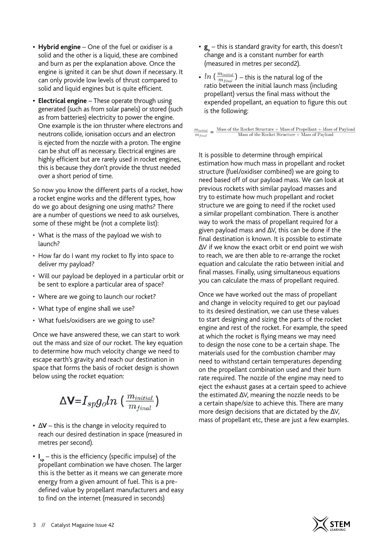- **• Hybrid engine**  One of the fuel or oxidiser is a solid and the other is a liquid, these are combined and burn as per the explanation above. Once the engine is ignited it can be shut down if necessary. It can only provide low levels of thrust compared to solid and liquid engines but is quite efficient.
- **• Electrical engine** These operate through using generated (such as from solar panels) or stored (such as from batteries) electricity to power the engine. One example is the ion thruster where electrons and neutrons collide, ionisation occurs and an electron is ejected from the nozzle with a proton. The engine can be shut off as necessary. Electrical engines are highly efficient but are rarely used in rocket engines, this is because they don't provide the thrust needed over a short period of time.

So now you know the different parts of a rocket, how a rocket engine works and the different types, how do we go about designing one using maths? There are a number of questions we need to ask ourselves, some of these might be (not a complete list):

- What is the mass of the payload we wish to launch?
- How far do I want my rocket to fly into space to deliver my payload?
- Will our payload be deployed in a particular orbit or be sent to explore a particular area of space?
- Where are we going to launch our rocket?
- What type of engine shall we use?
- What fuels/oxidisers are we going to use?

Once we have answered these, we can start to work out the mass and size of our rocket. The key equation to determine how much velocity change we need to escape earth's gravity and reach our destination in space that forms the basis of rocket design is shown below using the rocket equation:

 $\Delta$ V= $I_{sp}g_{o}ln\left(\frac{m_{initial}}{m_{final}}\right)$ 

- mass of propellant etc, these are just a few examples. **•** <sup>∆</sup>**V**  this is the change in velocity required to reach our desired destination in space (measured in metres per second).
- **• I sp** this is the efficiency (specific impulse) of the propellant combination we have chosen. The larger this is the better as it means we can generate more energy from a given amount of fuel. This is a predefined value by propellant manufacturers and easy to find on the internet (measured in seconds)
- $\mathbf{g}_{\circ}$  this is standard gravity for earth, this doesn't change and is a constant number for earth (measured in metres per second2).
- $ln\left(\frac{m_{initial}}{m_{final}}\right)$  this is the natural log of the ratio between the initial launch mass (including propellant) versus the final mass without the expended propellant, an equation to figure this out is the following:

 $\frac{m_{initial}}{m_{final}}\,=\,\frac{\text{Mass of the Rockefeller Structure} + \text{Mass of Propellant} + \text{Mass of Payload}}{\text{Mass of the Rockefeller Structure} + \text{Mass of Payload}}$ 

It is possible to determine through empirical estimation how much mass in propellant and rocket structure (fuel/oxidiser combined) we are going to need based off of our payload mass. We can look at previous rockets with similar payload masses and try to estimate how much propellant and rocket structure we are going to need if the rocket used a similar propellant combination. There is another way to work the mass of propellant required for a given payload mass and ∆V, this can be done if the final destination is known. It is possible to estimate ∆V if we know the exact orbit or end point we wish to reach, we are then able to re-arrange the rocket equation and calculate the ratio between initial and final masses. Finally, using simultaneous equations you can calculate the mass of propellant required.

Once we have worked out the mass of propellant and change in velocity required to get our payload to its desired destination, we can use these values to start designing and sizing the parts of the rocket engine and rest of the rocket. For example, the speed at which the rocket is flying means we may need to design the nose cone to be a certain shape. The materials used for the combustion chamber may need to withstand certain temperatures depending on the propellant combination used and their burn rate required. The nozzle of the engine may need to eject the exhaust gases at a certain speed to achieve the estimated ∆V, meaning the nozzle needs to be a certain shape/size to achieve this. There are many more design decisions that are dictated by the ∆V,